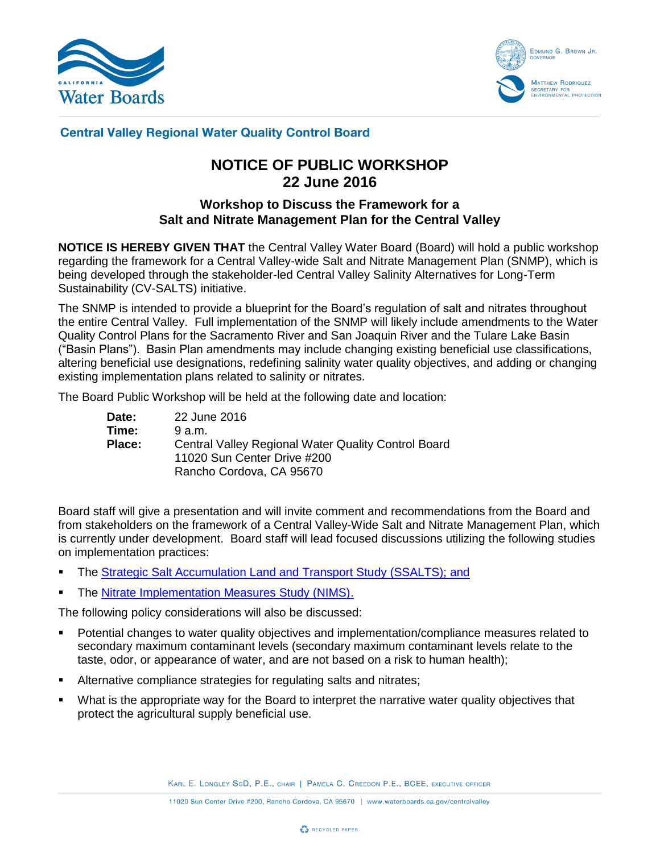



## **Central Valley Regional Water Quality Control Board**

# **NOTICE OF PUBLIC WORKSHOP 22 June 2016**

## **Workshop to Discuss the Framework for a Salt and Nitrate Management Plan for the Central Valley**

**NOTICE IS HEREBY GIVEN THAT** the Central Valley Water Board (Board) will hold a public workshop regarding the framework for a Central Valley-wide Salt and Nitrate Management Plan (SNMP), which is being developed through the stakeholder-led Central Valley Salinity Alternatives for Long-Term Sustainability (CV-SALTS) initiative.

The SNMP is intended to provide a blueprint for the Board's regulation of salt and nitrates throughout the entire Central Valley. Full implementation of the SNMP will likely include amendments to the Water Quality Control Plans for the Sacramento River and San Joaquin River and the Tulare Lake Basin ("Basin Plans"). Basin Plan amendments may include changing existing beneficial use classifications, altering beneficial use designations, redefining salinity water quality objectives, and adding or changing existing implementation plans related to salinity or nitrates.

The Board Public Workshop will be held at the following date and location:

| Date:         | 22 June 2016                                        |
|---------------|-----------------------------------------------------|
| Time:         | 9a.m.                                               |
| <b>Place:</b> | Central Valley Regional Water Quality Control Board |
|               | 11020 Sun Center Drive #200                         |
|               | Rancho Cordova, CA 95670                            |

Board staff will give a presentation and will invite comment and recommendations from the Board and from stakeholders on the framework of a Central Valley-Wide Salt and Nitrate Management Plan, which is currently under development. Board staff will lead focused discussions utilizing the following studies on implementation practices:

- The [Strategic Salt Accumulation Land and Transport Study \(SSALTS\);](http://www.cvsalinity.org/index.php/committees/technical-advisory/implementation-plannings/105-strategic-salt-accumulation-land-and-transport-study-ssalts.html) and
- The [Nitrate Implementation Measures Study \(NIMS\).](http://www.cvsalinity.org/index.php/committees/technical-advisory/implementation-plannings/160-nitrate-implementation-measures-study-nims.html)

The following policy considerations will also be discussed:

- Potential changes to water quality objectives and implementation/compliance measures related to secondary maximum contaminant levels (secondary maximum contaminant levels relate to the taste, odor, or appearance of water, and are not based on a risk to human health);
- Alternative compliance strategies for regulating salts and nitrates;
- What is the appropriate way for the Board to interpret the narrative water quality objectives that protect the agricultural supply beneficial use.